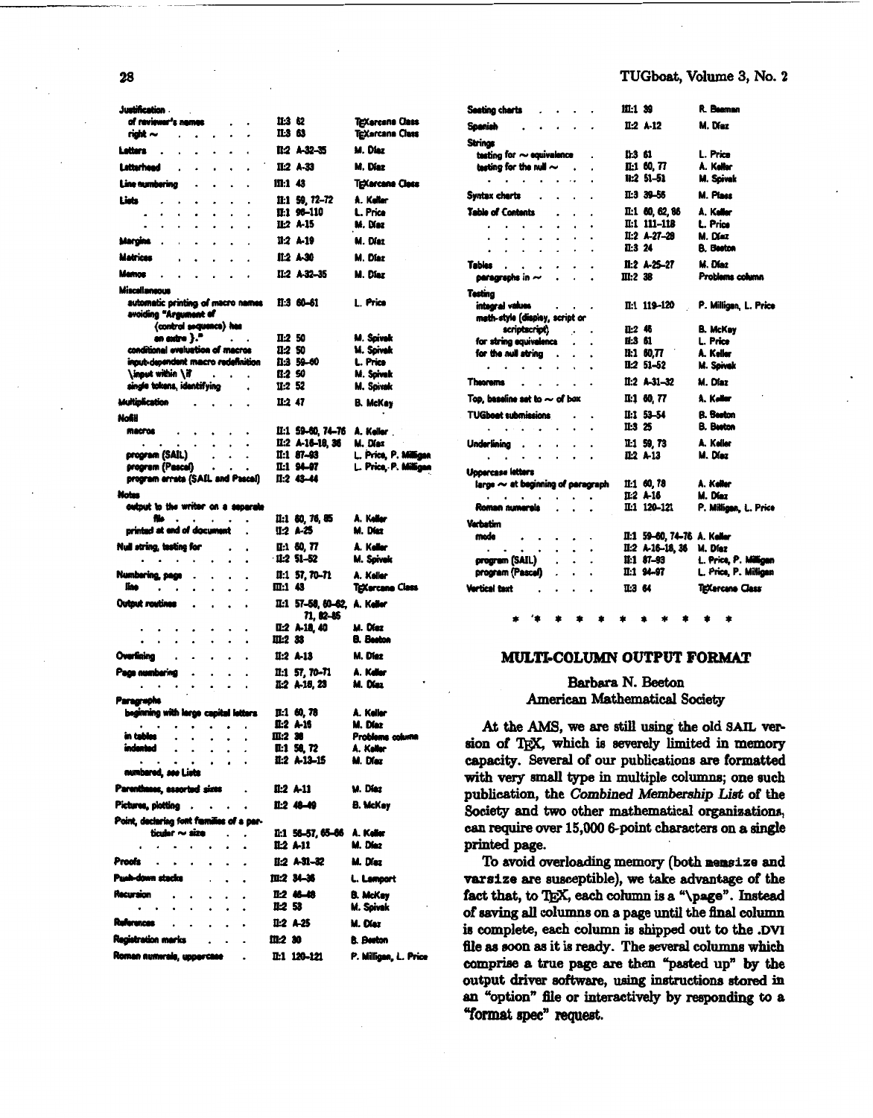| Justification .                                                         |                                        |                                  |                                                |
|-------------------------------------------------------------------------|----------------------------------------|----------------------------------|------------------------------------------------|
| of reviewer's nemes                                                     |                                        | II:3 62                          | TEXercana Class                                |
| right ~<br>$\ddot{\phantom{0}}$<br>$\bullet$                            |                                        | IL3 63                           | TEXarcana Class                                |
| Letters<br>$\cdot$<br>$\ddot{\phantom{a}}$                              | $\blacksquare$                         | 11:2 A-32-35                     | M. Diaz                                        |
| Latterheed<br>٠                                                         | $\ddot{\phantom{0}}$<br>$\bullet$      | II:2 A-33                        | M. Díaz                                        |
| Line numbering<br>۰<br>۰                                                | $\cdot$<br>۰                           | 111:1 43                         | <b>TEXarcana Class</b>                         |
| Lists<br>$\bullet$<br>۰<br>۰                                            |                                        | 11:1 59, 72-72                   | A. Keller                                      |
| ۰<br>۰<br>۰<br>۰<br>٠<br>٠<br>٠<br>٠                                    | $\bullet$<br>٠                         | 11:1 96-110<br>II:2 A-15         | L. Price<br>M. Diaz                            |
| Margins                                                                 |                                        | 11:2 A-19                        | M. Díaz                                        |
| Matrices                                                                |                                        | II:2 A-30                        | M. Díaz                                        |
| $\ddot{\phantom{0}}$<br>Mernos                                          |                                        | II:2 A-32-35                     | M. Diez                                        |
| $\ddot{\phantom{0}}$                                                    |                                        |                                  |                                                |
| Miscellaneous<br>automatic printing of macro names                      |                                        | II:3 60-61                       | L. Price                                       |
| avoiding "Argument of                                                   |                                        |                                  |                                                |
| (control sequence) hes                                                  |                                        |                                  |                                                |
| an extra $\}$ . $\qquad \qquad$<br>conditional eveluation of macros     |                                        | II:2 50<br>11:2 50               | M. Spivak<br>M. Spivak                         |
| input-dependent macro redefinition                                      |                                        | 11:3 59-60                       | L. Price                                       |
| \input within \if                                                       |                                        | 11:2 50                          | M. Spivak                                      |
| single tokens, identifying                                              |                                        | II:2 52                          | M. Spivak                                      |
| Multiplication                                                          |                                        | II:2 47                          | B. McKay                                       |
| Nofil                                                                   |                                        |                                  |                                                |
| <b><i><u>MACFOS</u></i></b><br>۰                                        | ۰                                      | II:1 59-60, 74-76                | A, Keller                                      |
| $\bullet$<br>$\bullet$<br>$\dot{\phantom{a}}$                           | $\cdot$<br>۰                           | $II:2 A.16-18, 36$               | M. Díaz                                        |
| program (SAIL)<br>$\bullet$<br>program (Pascal)                         |                                        | $II:1 87-93$<br>II:1 94-97       | L. Price, P. Milligan<br>L. Price, P. Milligan |
| $\bullet$<br>program arrata (SAIL and Pascal)                           | ۰                                      | $II:2$ 43-44                     |                                                |
| Motos                                                                   |                                        |                                  |                                                |
| output to the writer on a separate                                      |                                        |                                  |                                                |
| file<br>$\bullet$ .<br><br><br><br><br><br><br><br><br><br><br><br><br> | $\bullet$                              | II:1 60, 76, 85                  | A. Keller                                      |
| printed at end of document                                              |                                        | II:2 A-25                        | M. Diez                                        |
| Null string, testing for                                                |                                        | II:1 60, 77                      | A. Keller                                      |
| .                                                                       | $\ddot{\phantom{0}}$<br>٠              | $11.2$ 51-52                     | M. Spivek                                      |
| Numbering, page                                                         |                                        | $II:1$ 57, 70-71                 | A. Keller                                      |
| line<br>$\cdot$ $\cdot$                                                 |                                        | m:1 43                           | TgXarcana Class                                |
| Output routines<br>$\bullet$<br>$\bullet$                               | $\bullet$<br>$\bullet$                 | II:1 57-58, 60-62,               | A. Keller                                      |
|                                                                         |                                        | 71, 82–85<br><b>II:2 A-18 40</b> | M. Diaz                                        |
| ۰                                                                       |                                        | III:2 33                         | <b>B.</b> Beston                               |
| Overlining                                                              |                                        | $II:2 A-13$                      | M. Diez                                        |
| Paga numbering<br>$\bullet$<br>٠                                        |                                        | $II:1$ 57, 70-71                 | A. Kallar                                      |
| $\bullet$<br>٠                                                          |                                        | II:2 A-18, 23                    | M. Diaz                                        |
| <b>Paragraphs</b>                                                       |                                        |                                  |                                                |
| beginning with lerge capital letters                                    |                                        | II:1 60, 78                      | A. Keller                                      |
| $\bullet$<br>$\bullet$                                                  | ۰                                      | II:2 A-16                        | M. Diaz                                        |
| in tables<br>$\bullet$<br>$\bullet$<br>٠                                | $\bullet$                              | III:2 38                         | Problems column                                |
| indented<br>$\bullet$<br>$\bullet$<br>$\bullet$<br>$\bullet$            | ٠<br>$\bullet$<br>$\ddot{\phantom{0}}$ | IL:1 58, 72<br>II:2 A-13-15      | A. Keller<br>M. Diez                           |
| numbared, see Lists                                                     |                                        |                                  |                                                |
| Parentheses, assorted sizes                                             |                                        | II:2 A-11                        | M. Diaz                                        |
| Pictures, plotting                                                      |                                        | II:2 48-49                       | <b>B. McKey</b>                                |
| Point, declaring font families of a per-                                |                                        |                                  |                                                |
| ticular $\sim$ size                                                     |                                        | II:1 56-57, 65-66 A. Keller      |                                                |
|                                                                         |                                        | <b>IL2 A-11</b>                  | M. Diez                                        |
| Proofs<br>$\cdot$<br>$\bullet$                                          |                                        | II:2 A-31-32                     | M. Diez                                        |
| Push-down stacks                                                        |                                        | 皿:2 34-36                        | L. Lamport                                     |
| Recursion<br>۰                                                          | ۰<br>٠                                 | 12 46 48                         | <b>B. McKey</b>                                |
| ٠<br>٠                                                                  |                                        | II-2 53                          | M. Spivak                                      |
| Ruferences<br>$\cdot$<br>۰<br>$\ddot{\phantom{0}}$                      | ۰                                      | $II:2$ A-25                      | M. Diez                                        |
| Registration marics                                                     |                                        | m:2 30                           | <b>B.</b> Beeton                               |
| Roman numerale, uppercase                                               |                                        | II:1 120-121                     | P. Milligan, L. Price                          |
|                                                                         |                                        |                                  |                                                |

| Seating charts                                                                                                                                                                                                                                                                                                                                                                                                               |                                 |                          | 111:1 39                    | R. Bearnen            |
|------------------------------------------------------------------------------------------------------------------------------------------------------------------------------------------------------------------------------------------------------------------------------------------------------------------------------------------------------------------------------------------------------------------------------|---------------------------------|--------------------------|-----------------------------|-----------------------|
| Spanish                                                                                                                                                                                                                                                                                                                                                                                                                      |                                 |                          | 11.2 A.12                   | M. Díaz               |
| Strings                                                                                                                                                                                                                                                                                                                                                                                                                      |                                 |                          |                             |                       |
| testing for $\sim$ equivalence                                                                                                                                                                                                                                                                                                                                                                                               |                                 |                          | 11:3 61                     | L. Price              |
| testing for the null $\sim$ .                                                                                                                                                                                                                                                                                                                                                                                                |                                 |                          | II:1 60, 77                 | A. Keller             |
|                                                                                                                                                                                                                                                                                                                                                                                                                              |                                 |                          | $11:2 51-51$                |                       |
| .                                                                                                                                                                                                                                                                                                                                                                                                                            |                                 | $\overline{\phantom{a}}$ |                             | M. Spivak             |
| Syntax charts .                                                                                                                                                                                                                                                                                                                                                                                                              | $\ddot{\phantom{0}}$            | $\cdot$<br>$\cdot$       | па 39-56                    | M. Pines              |
| <b>Table of Contents</b>                                                                                                                                                                                                                                                                                                                                                                                                     | $\ddot{\phantom{0}}$            |                          | II:1 60, 62, 86             | A. Keller             |
|                                                                                                                                                                                                                                                                                                                                                                                                                              | $\ddot{\phantom{0}}$            |                          | II:1 111-118                | L. Price              |
|                                                                                                                                                                                                                                                                                                                                                                                                                              |                                 |                          | $II:2 A-27-28$              | M. Díaz               |
| $\frac{1}{2}$ , $\frac{1}{2}$ , $\frac{1}{2}$ , $\frac{1}{2}$ , $\frac{1}{2}$                                                                                                                                                                                                                                                                                                                                                | ÷.                              | $\ddot{\phantom{0}}$     |                             |                       |
|                                                                                                                                                                                                                                                                                                                                                                                                                              | $\cdot$<br>$\ddot{\phantom{0}}$ |                          | II:3 24                     | <b>B.</b> Beston      |
|                                                                                                                                                                                                                                                                                                                                                                                                                              |                                 | $\cdot$                  | II:2 A-25-27                | M. Diaz               |
| Tables $\cdots$                                                                                                                                                                                                                                                                                                                                                                                                              | $\ddot{\phantom{0}}$            |                          | III:2 38                    | Problems column       |
|                                                                                                                                                                                                                                                                                                                                                                                                                              |                                 |                          |                             |                       |
| <b>Testina</b>                                                                                                                                                                                                                                                                                                                                                                                                               |                                 |                          |                             |                       |
| integral values and a second                                                                                                                                                                                                                                                                                                                                                                                                 |                                 |                          | II:1 119-120                | P. Milligan, L. Price |
| math-style (display, script or                                                                                                                                                                                                                                                                                                                                                                                               |                                 |                          |                             |                       |
|                                                                                                                                                                                                                                                                                                                                                                                                                              |                                 |                          |                             |                       |
| scriptscript)                                                                                                                                                                                                                                                                                                                                                                                                                |                                 |                          | II:2 46                     | <b>B. McKay</b>       |
| for string equivalence                                                                                                                                                                                                                                                                                                                                                                                                       | $\ddot{\phantom{a}}$            |                          | <b>II:S 61</b>              | L. Price              |
| for the null string                                                                                                                                                                                                                                                                                                                                                                                                          |                                 |                          | II:1 60.77                  | A. Keller             |
| $\mathbf{r} = \mathbf{r} + \mathbf{r} + \mathbf{r} + \mathbf{r} + \mathbf{r} + \mathbf{r} + \mathbf{r} + \mathbf{r} + \mathbf{r} + \mathbf{r} + \mathbf{r} + \mathbf{r} + \mathbf{r} + \mathbf{r} + \mathbf{r} + \mathbf{r} + \mathbf{r} + \mathbf{r} + \mathbf{r} + \mathbf{r} + \mathbf{r} + \mathbf{r} + \mathbf{r} + \mathbf{r} + \mathbf{r} + \mathbf{r} + \mathbf{r} + \mathbf{r} + \mathbf{r} + \mathbf{r} + \mathbf$ |                                 |                          | $II:2 51-52$                | M. Spivek             |
| Theorems                                                                                                                                                                                                                                                                                                                                                                                                                     |                                 |                          | $11.2$ A-31-32              | M. Diaz               |
| Top, baseline set to $\sim$ of box                                                                                                                                                                                                                                                                                                                                                                                           |                                 |                          | II:1 60, 77                 | A. Keller             |
| <b>TUGboot submissions</b>                                                                                                                                                                                                                                                                                                                                                                                                   |                                 |                          | II:1 53-54                  | <b>B.</b> Beeton      |
|                                                                                                                                                                                                                                                                                                                                                                                                                              |                                 |                          | II:3 25                     |                       |
| $\mathbf{r} = \mathbf{r} \times \mathbf{r} \times \mathbf{r} \times \mathbf{r}$ .                                                                                                                                                                                                                                                                                                                                            | $\ddot{\phantom{0}}$            |                          |                             | <b>B.</b> Beeton      |
| Underlining                                                                                                                                                                                                                                                                                                                                                                                                                  |                                 |                          | II:1 59, 73                 | A. Keller             |
| a carried and a series                                                                                                                                                                                                                                                                                                                                                                                                       |                                 |                          | IL2 A-13                    | M. Díaz               |
|                                                                                                                                                                                                                                                                                                                                                                                                                              |                                 |                          |                             |                       |
| Uppercase letters                                                                                                                                                                                                                                                                                                                                                                                                            |                                 |                          |                             |                       |
| large $\sim$ at beginning of paragraph                                                                                                                                                                                                                                                                                                                                                                                       |                                 |                          | 11:1 60, 78                 | A. Keller             |
| a contractors                                                                                                                                                                                                                                                                                                                                                                                                                |                                 |                          | II:2 A-16                   | M. Díaz               |
| Roman numerals                                                                                                                                                                                                                                                                                                                                                                                                               |                                 |                          | II:1 120-121                | P. Milligan, L. Price |
|                                                                                                                                                                                                                                                                                                                                                                                                                              |                                 |                          |                             |                       |
| Verbetim                                                                                                                                                                                                                                                                                                                                                                                                                     |                                 |                          |                             |                       |
| mode                                                                                                                                                                                                                                                                                                                                                                                                                         | $\cdot$ $\cdot$                 |                          | II:1 59-60, 74-76 A. Keller |                       |
| $\cdots$                                                                                                                                                                                                                                                                                                                                                                                                                     | .                               |                          | II:2 A-16-18, 36            | M. Díaz               |
| program (SAIL)                                                                                                                                                                                                                                                                                                                                                                                                               |                                 |                          | II:1 87-93                  | L. Price, P. Milligan |
| program (Pascel)                                                                                                                                                                                                                                                                                                                                                                                                             | $\ddotsc$                       |                          | II:1 94-97                  | L. Price, P. Milligan |
|                                                                                                                                                                                                                                                                                                                                                                                                                              |                                 |                          |                             |                       |
| Vertical text                                                                                                                                                                                                                                                                                                                                                                                                                |                                 |                          | па 64                       | TEXarcana Class       |
|                                                                                                                                                                                                                                                                                                                                                                                                                              |                                 |                          |                             |                       |
|                                                                                                                                                                                                                                                                                                                                                                                                                              |                                 |                          |                             |                       |

# MULTI-COLUMN OUTPUT FORMAT

# Barbara N. Beeton **American Mathematical Society**

At the AMS, we are still using the old SAIL version of TEX, which is severely limited in memory capacity. Several of our publications are formatted with very small type in multiple columns; one such publication, the Combined Membership List of the Society and two other mathematical organizations, can require over 15,000 6-point characters on a single printed page.

To avoid overloading memory (both memsize and varsize are susceptible), we take advantage of the fact that, to TEX, each column is a "\page". Instead of saving all columns on a page until the final column is complete, each column is shipped out to the .DVI file as soon as it is ready. The several columns which comprise a true page are then "pasted up" by the output driver software, using instructions stored in an "option" file or interactively by responding to a "format spec" request.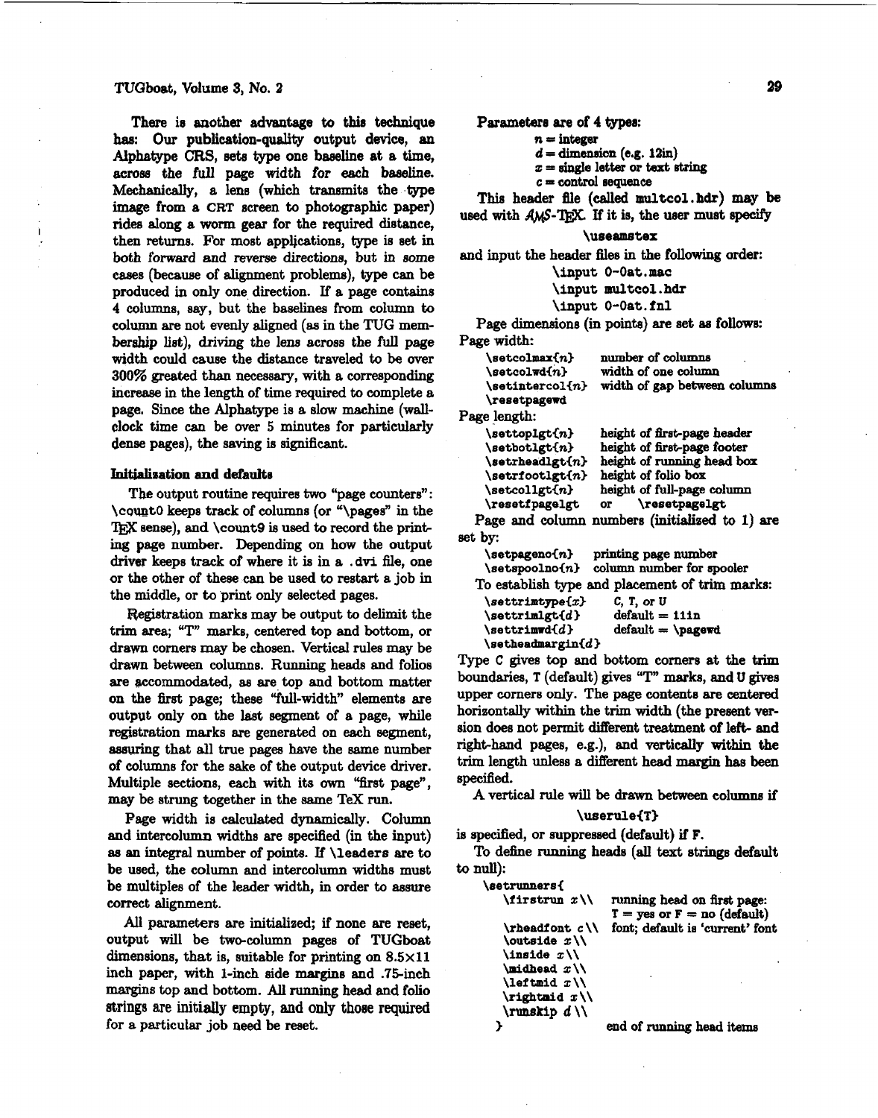### TUGboat, Volume **8,** No. 2

There is another advantage **to this technique hae: Our** publication-quality output device, **an**  Alphatype **CRS, eete type** one **bseeUne** at **a** time, acrose the full page width for each baseline. Mechanically, a lens (which transmits the type image from a CRT screen to photographic paper) rides dong a worm gear for the required distance, then return. For most applications, type **ie** set in both forward and reverse directions, but in some cases (because of alignment problems), type can be produced **in** only one direction. If a page contains 4 columns, say, but the baselines from colurnn to column are not evenly aligned **(as** in the TUG membership list), driving the lena across the full page width could cause the distance traveled to be wer 300% **greated** than necessary, with a corresponding increase in the length of time required to complete a page. Since the Alphatype is a slow machine (walldock time **can** be **wer** 5 minutes for particularly dense pages), the saving is significant.

#### **Initialization and defaults**

**Tbe** output routine requires two "page counters": \count0 keeps track of columns (or "\pages" in the TFX sense), and  $\count9$  is used to record the print**ing** page number. Depending on how the output driver keeps track of where it is in a . **dvi** file, one or the other of these **can** be used to restart a job in the middle, or to print only selected pages.

Registration marks may be output to delimit the trim area; **"T"** marks, centered top and bottom, or drawn corners may be chosen. Vertical rules may be drawn between columns. Running heads and folios **are** wcornmodated, **aa** are top and bottom matter on the first page; these "full-width" elements are output only on the last segment of a page, while registration marks are generated on each segment, assuring that all true pages have the same number of columns for the sake of the output device driver. Multiple sections, each with its own "first page", may be strung together in the same TeX run.

Page width is calculated dynamically. Column and intercolumn widths are specified (in the input) as an integral number of points. If \leaders **are** to be used, the column and intercolumn widths must be multiples of the leader width, in order to assure correct alignment.

All parameters are initialized; if none are reset, output will be two-column pages of TUGboat dimensions, that is, suitable for printing on  $8.5 \times 11$ inch paper, with 1-inch side margins and .75-inch margins top **and** bottom. **All running** head and folio **strings** are initially **empty, and only** those required for a particular job need be reaet.

**Parameters are** of **4 types:** 

```
n = integer
```
 $d =$  dimension  $(e.g. 12in)$ 

**<sup>x</sup>**= **single letter or** text **6tring** 

**<sup>e</sup>**= **control sequence** 

This header file (called multcol. hdr) may be used with AMS-TFX. If it is, the user must specify

## **\useamstex**

and input the header files in the **following** order:

\input **0-Oat .nac** 

\input **multcol** . **hdr** 

\input **0-0at**.fnl

Page dimensions (in points) are set as follows: Page width:

| $\setminus$ setcolmax $\{n\}$    | number of columns            |
|----------------------------------|------------------------------|
| $\setminus \texttt{setcolwd}{n}$ | width of one column          |
| $\setminus$ setintercol $\{n\}$  | width of gap between columns |
| \resetpagewd                     |                              |
| Page length:                     |                              |
|                                  | height of first-page header  |
| \setbotlgt{n}                    | height of first-page footer  |
| $\setminus$ setrheadlgt $\{n\}$  | height of running head box   |
| \setrfootlgt{n}                  | height of folio box          |

**\resetf pagelgt**  or **\resetpagelgt** Page and column numbers (initialized to 1) are set by:

 $height$  of full-page column

\setcollgt{n}

| $\setminus$ setpageno $\{n\}$                                                                                                                                                                                                     | printing page number<br>\setspoolno{n} column number for spooler |
|-----------------------------------------------------------------------------------------------------------------------------------------------------------------------------------------------------------------------------------|------------------------------------------------------------------|
| $\mathbf{A}$ . The set of the set of the set of the set of the set of the set of the set of the set of the set of the set of the set of the set of the set of the set of the set of the set of the set of the set of the set of t | To establish type and placement of trim marks:                   |
| . .                                                                                                                                                                                                                               |                                                                  |

| $\setminus$ settrimtype $\{x\}$   | C, T, or U                  |
|-----------------------------------|-----------------------------|
| $\setminus \texttt{setrimlgt}(d)$ | $default = 11in$            |
| $\setminus$ settrimwd $\{d\}$     | $default = \page{page}{\n}$ |
| $\setminus$ setheadmargin $\{d\}$ |                             |
|                                   |                             |

Type C gives top and bottom cornem at the **trim**  boundaries, T (default) gives **"T" marks,** and U **gives**  upper corners only. The page content8 **are** centered horizontally within the trim width (the present version does not permit different treatment of left- and right-hand pages, e.g.), and vertically within the trim length unless a different head **margin** has **been**  specified.

A vertical rule will be drawn between columns if \userule<T)

**ia** specified, or suppreased (default) if F.

To dehe **running** heads **(all** text atrings defadt to null):

| running head on first page:<br>$T = yes$ or $F = no$ (default) |
|----------------------------------------------------------------|
| font; default is 'current' font                                |
|                                                                |
|                                                                |
|                                                                |
|                                                                |
|                                                                |
|                                                                |
|                                                                |

> **end of running head items**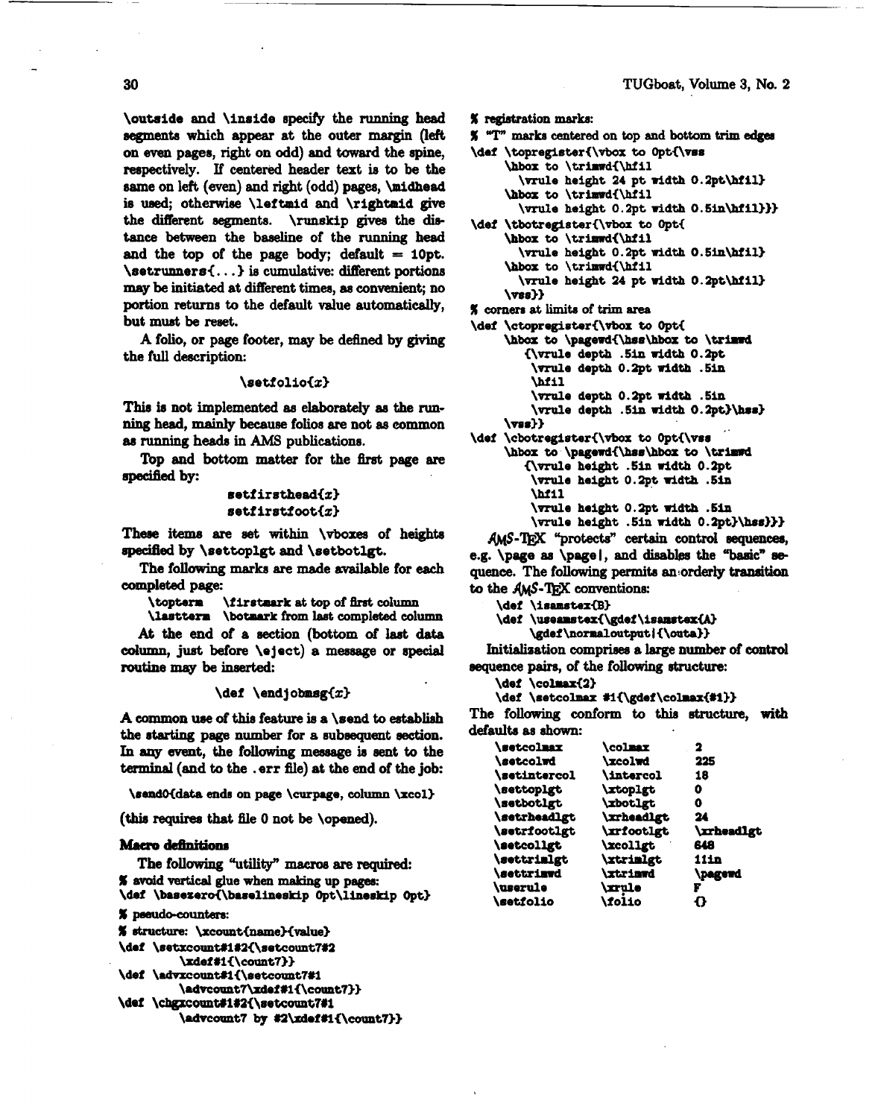**\outside** and **\inside** specify the running head segments **which appear** at the outer **margin** (left on **even** pages, right on odd) and toward the spine, respectively. If centered header text **is** to be the same on left (even) and right (odd) pages, **\midhead** is used; otherwise **\leftmid** and **\rightmid** give the different segments. **\runskip** gives the distance between the baseline of the running head and the  $top$  of the page body; default = 10pt. **\setrunners<.** . **.3 is** cumulative: different portions may be initiated at different times, **as** convenient; no portion returns **to** the default value automatically, **but must** be reset.

A folio, or page footer, **may** be defined by giving the full description:

### $\setminus$ setfolio $\{x\}$

**This** is not implemented **ae** elaborately **as the running** head, mainly **because** folios are not as common **as** running heads in **AMS** publicatione.

Top and bottom matter for the first page are **speeitIed** by:

# setfirsthead{ $x$ } **setfirstfoot<z)**

These items are set within **\vboxes** of heights **specified** by **\settoplgt** and **\setbotlgt.** 

The following **marks are** made **mailable** for **each**  completed page:

**\topterm \firstmark at top of 0rst** column

**\lastterm** \botmark from last completed column At the end of a section (bottom of last **data dumn, just** before **\eject)** a meeaage or **special routine** may be inserted:

### $\det \ \end{displaystyle}$

A common **use** of this **feature is a \send to** establish the starting page number for a subsequent section. **In sqy event,** the follawing message is **sent** to the terminal **(and** to the **.err** file) **at** the end of the job:

**\rendOidata ends on page \curpage, column \xcol)** 

(this requires that file 0 not be **\opened**).

### **Macro** definitions

The following "utility" **macroe** are required: **In anche Commissions**<br> **I The following "utility" macros are requite<br>
<b>X** avoid vertical glue when making up pages:<br> **Ndef** \basezero{\baselineskip 0pt\lineski \def \basezero{\baselineskip Opt\lineskip Opt}

```
% pseudo-counters:
```

```
% structure: \xcount{name}{value}
```

```
\def \setxcount#1#2{\setcount7#2
```

```
\xdef#1{\count7}}
```

```
\def \advxcount#1{\setcount7#1
```

```
\advcount7\xdef#1{\count7}}
\def \chgxcount#1#2{\setcount7#1
```

```
\advcount7 by #2\zdef#1{\count7}}
```

```
I registration marks:
```

```
I "'I"' marb centered on tap and bottom trim edges
```

```
\def \topregister{\vbox to 0pt{\vss
```

```
\hbox to \trirrdi\hiil 
  \mule height 24 pt width O.Zpt\hiil) 
\hbox to \trimwd{\hfil
```

```
\me height 0. apt width 0. SinWIl3))
```

```
\def \tbotregisteri\vbox to Opti 
     \hbox to \trimwd{\hfil
       \forall \vrule height 0.2pt width 0.5in\hfil}
     \hbox to \trimwd{\hfil
```
\vrule height 24 pt width 0.2pt\hfil} **\me33** 

% cornera **at limit8 of trim area** 

**\def \ctopregisteri\vbor to Opt<** 

```
\hbox to \pagewd{\hss\hbox to \trimwd
   <\vrulr depth .bin ddth O.2pt 
    \vrule depth 0.2pt width .5in
    Wil 
    \me depth 0.2pt width .51n 
    \vrule depth .5in width O.2pt}\hss}
\vEs33
```
\def \cbotregister{\vbox to Opt{\vss \hbox **to** \pagewd{\hss\hbox to \trimwd **(\me height .5in width 0.2pt \vrule height 0.2pt width .bin \bill \vrule height O.2pt width .5in**  \vrule height **.5in width 0.2pt}\hss}}}** 

AMS-TEX "protects" certain control sequences, **e.g. \page as \page**, and disables the "basic" sequence. The following permits an orderly transition to the AMS-TEX conventions:

\def \isamstex{B}

```
\def \useamstex{\gdef\isamstex{A}
```
**\gdef \nomaloutput I i\outa33** 

Initialization comprises a large number of control **sequence pairs,** of the following structure:

**\def \colrsri23** 

```
\def \setcolmax #1{\gdef\colmax{#1}}
```
The following conform to this structure, with defaults as shown:

| <b>\setcolmax</b>        | <b>\colmax</b>        | 2                 |
|--------------------------|-----------------------|-------------------|
| <b>\setcolwd</b>         | <b>\xcolwd</b>        | 225               |
| <b>\setintercol</b>      | <b>\intercol</b>      | 18                |
| \settoplgt               | <b>\xtoplgt</b>       | 0                 |
| <i>setbotlgt</i>         | <i><b>xbotlgt</b></i> | O                 |
| <i>setrheadlgt</i>       | <b>\xrheadlgt</b>     | 24                |
| <i>setricotlgt</i>       | <b>\xrfootlgt</b>     | <b>\xrheadlgt</b> |
| <i><b>\setcollgt</b></i> | <b>\xcollgt</b>       | 648               |
| <i>settrinlgt</i>        | <b>xtrimlgt</b>       | <b>11in</b>       |
| <i>settrima</i>          | <b>\xtriawd</b>       | \pagewd           |
| <b>\userule</b>          | <b>\xrule</b>         | F                 |
| <b>\setfolio</b>         | <b>\folio</b>         | 0                 |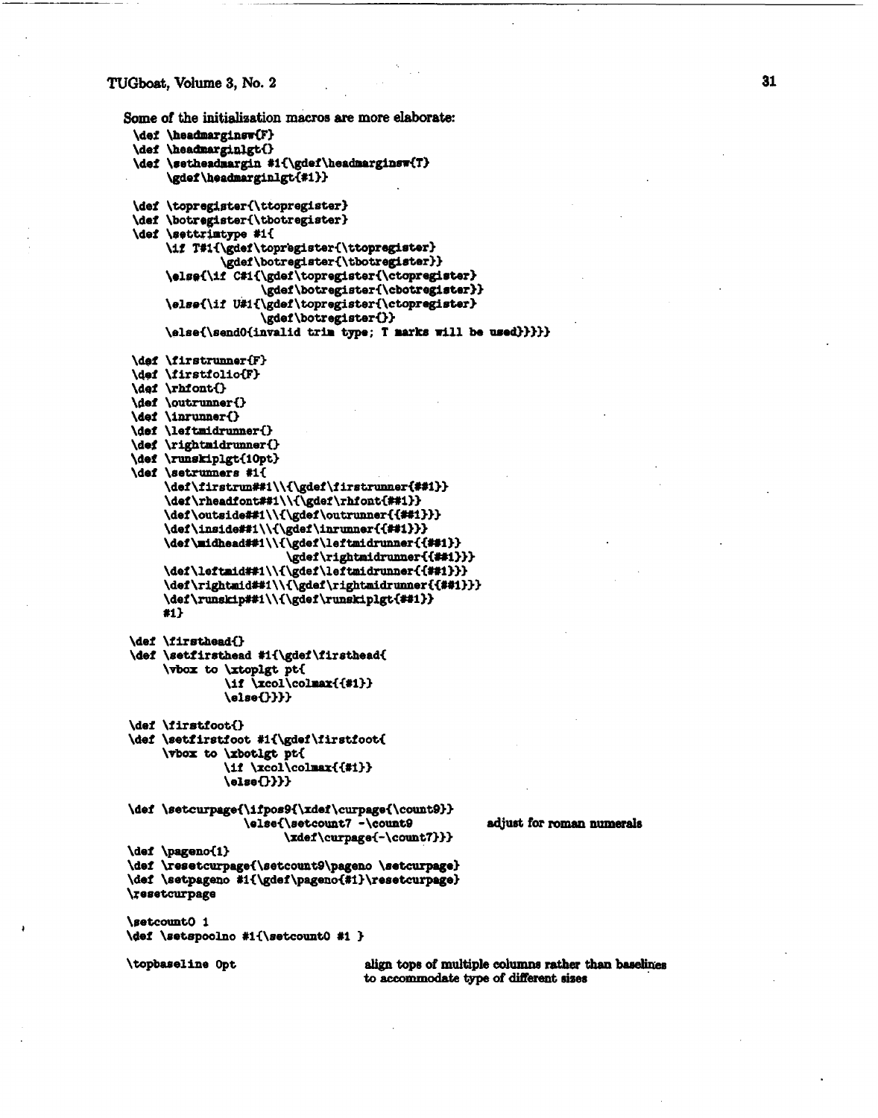### **TUGboat, Volume 3, No. 2**

```
Some of the initialisation m&os are more elaborate: 
 \def \headmarginsw{F}
 \def \headmarginlgt()
 \def \setheadmargin #1{\gdef\headmarginsw{T}
      \gdef\headmarginlgt{#i}}
 \def \topregister{\ttopregister}
 \def \botregister{\tbotregister}
 \def \settrimtype #1{
      \if T#i{\gdef\topregister{\ttopregister}
               \gdef \botregister€\tbotre@ster3) 
      \else{\if C#1{\gdef\topregister{\ctopregister}
                     \gdd \botre@steri\cbotregirter)> 
      \elsei\if Ulli\gdef \topregisteri\ctopregieter3 
                     \gdef \botregisterO> 
      \elsei\eendOiinvalid trim type; T mark8 dl1 be wed))))) 
 \def \firstrunner{F}
 \def \firstfolio{F}
 \def \rhfont{}
 \def \outrunner{}
 \def \inrunner{}
 \def \leftmidrunner{}
 \def \rightmidrunner{}
 \def \runskiplgt{10pt}
 \def \setrunners #1{
      \def\firstrun##1\\{\gdef\firstrunner{##1}}
      \def\rheadfont##1\\{\gdef\rhfont{##1}}
      \def\outside##1\\{\gdef\outrunner{{##1}}}
      \def\inside##1\\{\gdef\inrunner{{##1}}}
      \def\midhead##1\\{\gdef\leftmidrunner{{##1}}
                         \gdef\rightmidrunner{{##1}}}
      \def\leftmid##1\\{\gdef\leftmidrunner{{##1}}}
      \def\rightmid##1\\{\gdef\rightmidrunner{{##1}}}
      \def\runskip##1\\{\gdef\runskiplgt{##1}}
     #1\def \firsthead{}
\def \setfirsthead #i{\gdef\firsthead{
     \vbox to \xtoplgt pt{
               \if \xcol\colmax{{#1}}
               \delta \else()}}}
\def \firstfoot{}
\def \setfirstfoot #1{\gdef\firstfoot{
     \vbox to \xbotlgt pt{
               \if \xcol\colmax{{#1}}
               \delta \else\{.\}\}}
\def \setcurpage{\ifpos9{\xdef\curpage{\count9}}
                  \else{\setcount7 -\count9 adjust for roman numerals
                        \xdef\curpagei-\count7333 
\def \pageno{1}
\dei \reoetcurpogei\setcount9\pagem \setcurpage) 
\def \setpageno #1{\gdef\pageno{#1}\resetcurpage}
\resetcurpage 
\setcount0 1
\def \setspoolno #1{\setcount0 #1 }
b b align tops of multiple columns rather than baselines of align of align tops of multiple columns rather than baselines
                                     to accommodate type of didliarent sires
```
31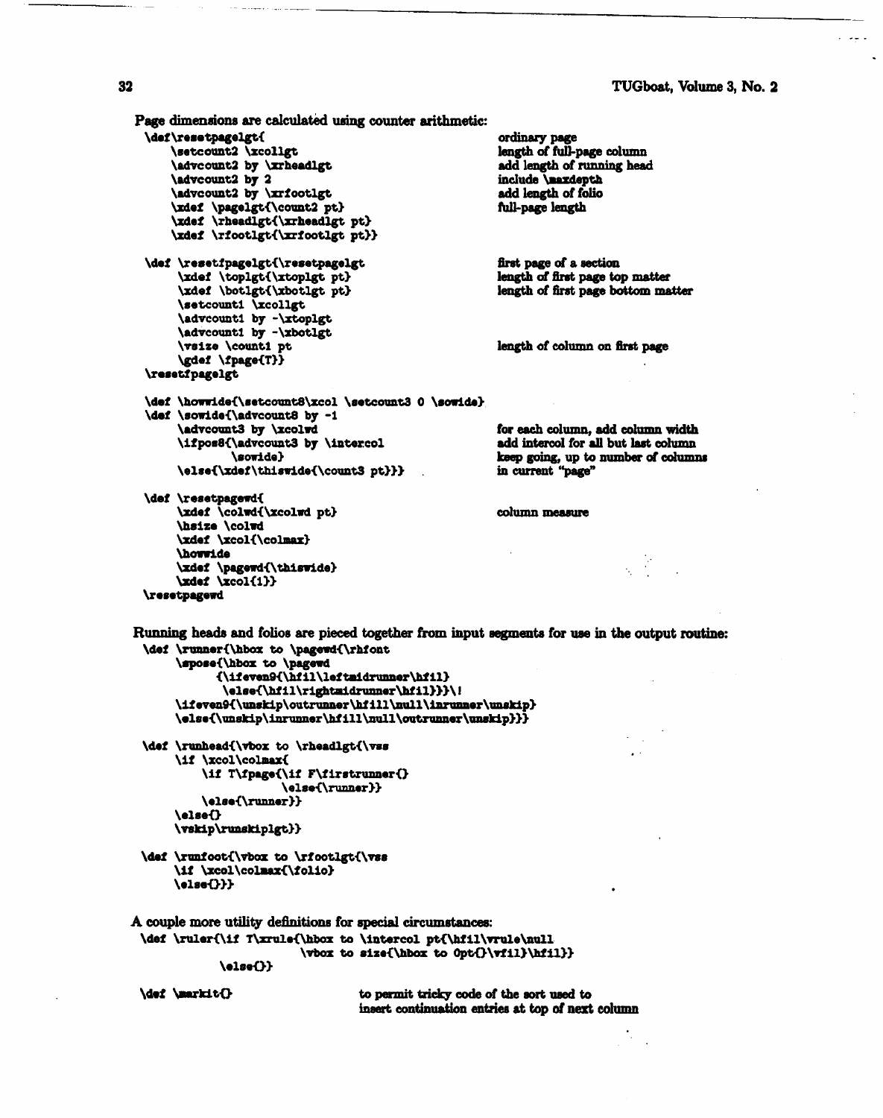```
Page dimensions are calculated using counter arithmetic:
 \def\resetpagelgt{
                                                          ordinary page
     \setcount2 \xcollgt
                                                          length of full-page column
      \advcount2 by \xrheadlgt
                                                          add length of running head
      \advcount2 by 2
                                                          include lasxdepth
      \advcount2 by \xrfootlgt
                                                          add length of folio
      \xdef \pagelgt{\count2 pt}
                                                          full-page length
      \xdef \rheadlgt{\xrheadlgt pt}
      \xdef \rfootlgt{\xrfootlgt pt}}
                                                          first page of a section
 \def \resetfpagelgt{\resetpagelgt
                                                          length of first page top matter
       \xdef \toplgt{\xtoplgt pt}
       \xdef \botlgt{\xbotlgt pt}
                                                          length of first page bottom matter
       \setcount1 \xcollgt
       \advcount1 by -\xtoplgt
       \advcount1 by -\xbotlgt
       \vsize \counti pt
                                                          length of column on first page
       \gdef \fpage{T}}
 \resetfpagelgt
 \def \howwide{\setcount8\xcol \setcount3 0 \sowide}
  \def \sowide{\advcount8 by -1
       \advcount3 by \xcolwd
                                                          for each column, add column width
       \ifpos8{\advcount3 by \intercol
                                                          add intercol for all but last column
               \sowide}
                                                          keep going, up to number of columns
       \else{\xdef\thiswide{\count3 pt}}}
                                                          in current "page"
 \def \resetpagewd{
       \xdef \colwd{\xcolwd pt}
                                                          column measure
       \hsize \colwd
       \xdef \xcol{\colmax}
       \howwide
      \xdef \pagewd{\thiswide}<br>\xdef \xcol{1}}
 \resetpagewd
Running heads and folios are pieced together from input segments for use in the output routine:
 \def \runner{\hbox to \pagewd{\rhfont
       \spose{\hbox to \pagewd
             {\ifeven9{\hfil\leftaidrunner\hfil}
              \else{\hfil\rightmidrunner\hfil}}}\!
      \ifeven9{\unskip\outrunner\hfill\null\inrunner\unskip}
```

```
\def \runhead{\vbox to \rheadlgt{\vss
     \if \xcol\colmax{
         \if T\fpage{\if F\firstrunner{}
                     \else{\runner}}
         \else{\runner}}
     \else{}
    \vskip\runskiplgt}}
```
\def \runfoot{\vbox to \rfootlgt{\vss \if \xcol\colmax{\folio}  $\delta$ 

A couple more utility definitions for special circumstances: \def \ruler{\if T\xrule{\hbox to \intercol pt{\hfil\vrule\null \vbox to size{\hbox to 0pt{}\vfil}\hfil}}

\else{\unskip\inrunner\hfill\null\outrunner\unskip}}}

\else()}

**\def \markit()** 

to permit tricky code of the sort used to insert continuation entries at top of next column

#### 32